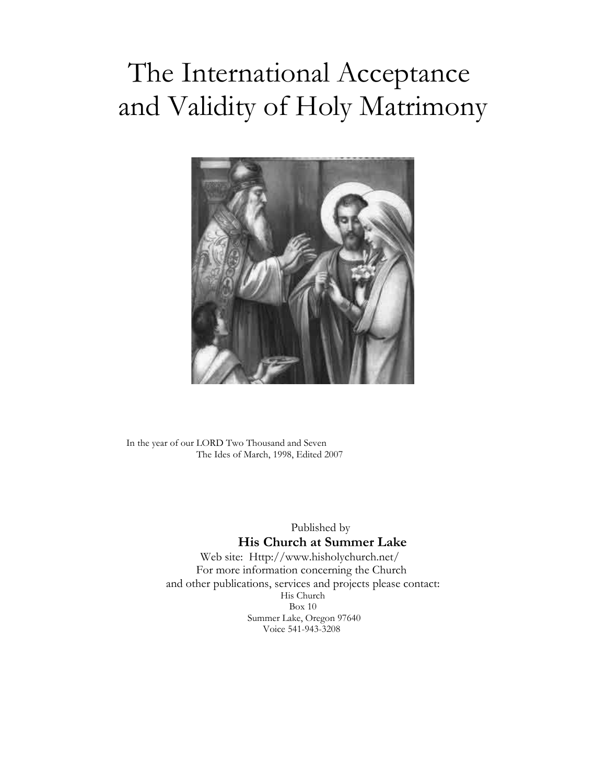# The International Acceptance and Validity of Holy Matrimony



In the year of our LORD Two Thousand and Seven The Ides of March, 1998, Edited 2007

Published by

#### **His Church at Summer Lake**

Web site: Http://www.hisholychurch.net/ For more information concerning the Church and other publications, services and projects please contact: His Church Box 10 Summer Lake, Oregon 97640 Voice 541-943-3208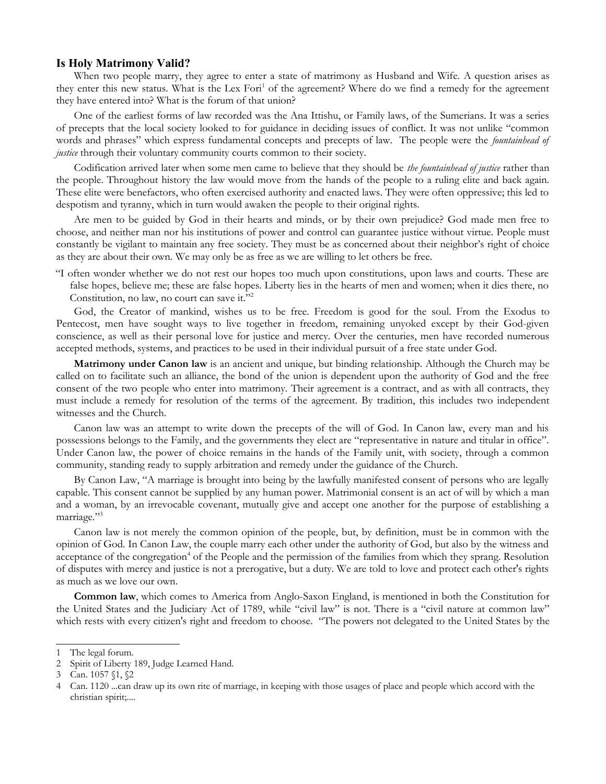#### **Is Holy Matrimony Valid?**

When two people marry, they agree to enter a state of matrimony as Husband and Wife. A question arises as they enter this new status. What is the Lex Fori<sup>[1](#page-1-0)</sup> of the agreement? Where do we find a remedy for the agreement they have entered into? What is the forum of that union?

One of the earliest forms of law recorded was the Ana Ittishu, or Family laws, of the Sumerians. It was a series of precepts that the local society looked to for guidance in deciding issues of conflict. It was not unlike "common words and phrases" which express fundamental concepts and precepts of law. The people were the *fountainhead of justice* through their voluntary community courts common to their society.

Codification arrived later when some men came to believe that they should be *the fountainhead of justice* rather than the people. Throughout history the law would move from the hands of the people to a ruling elite and back again. These elite were benefactors, who often exercised authority and enacted laws. They were often oppressive; this led to despotism and tyranny, which in turn would awaken the people to their original rights.

Are men to be guided by God in their hearts and minds, or by their own prejudice? God made men free to choose, and neither man nor his institutions of power and control can guarantee justice without virtue. People must constantly be vigilant to maintain any free society. They must be as concerned about their neighbor's right of choice as they are about their own. We may only be as free as we are willing to let others be free.

"I often wonder whether we do not rest our hopes too much upon constitutions, upon laws and courts. These are false hopes, believe me; these are false hopes. Liberty lies in the hearts of men and women; when it dies there, no Constitution, no law, no court can save it."[2](#page-1-1)

God, the Creator of mankind, wishes us to be free. Freedom is good for the soul. From the Exodus to Pentecost, men have sought ways to live together in freedom, remaining unyoked except by their God-given conscience, as well as their personal love for justice and mercy. Over the centuries, men have recorded numerous accepted methods, systems, and practices to be used in their individual pursuit of a free state under God.

**Matrimony under Canon law** is an ancient and unique, but binding relationship. Although the Church may be called on to facilitate such an alliance, the bond of the union is dependent upon the authority of God and the free consent of the two people who enter into matrimony. Their agreement is a contract, and as with all contracts, they must include a remedy for resolution of the terms of the agreement. By tradition, this includes two independent witnesses and the Church.

Canon law was an attempt to write down the precepts of the will of God. In Canon law, every man and his possessions belongs to the Family, and the governments they elect are "representative in nature and titular in office". Under Canon law, the power of choice remains in the hands of the Family unit, with society, through a common community, standing ready to supply arbitration and remedy under the guidance of the Church.

By Canon Law, "A marriage is brought into being by the lawfully manifested consent of persons who are legally capable. This consent cannot be supplied by any human power. Matrimonial consent is an act of will by which a man and a woman, by an irrevocable covenant, mutually give and accept one another for the purpose of establishing a marriage."<sup>[3](#page-1-2)</sup>

Canon law is not merely the common opinion of the people, but, by definition, must be in common with the opinion of God. In Canon Law, the couple marry each other under the authority of God, but also by the witness and acceptance of the congregation<sup>[4](#page-1-3)</sup> of the People and the permission of the families from which they sprang. Resolution of disputes with mercy and justice is not a prerogative, but a duty. We are told to love and protect each other's rights as much as we love our own.

**Common law**, which comes to America from Anglo-Saxon England, is mentioned in both the Constitution for the United States and the Judiciary Act of 1789, while "civil law" is not. There is a "civil nature at common law" which rests with every citizen's right and freedom to choose. "The powers not delegated to the United States by the

<span id="page-1-0"></span><sup>1</sup> The legal forum.

<span id="page-1-1"></span><sup>2</sup> Spirit of Liberty 189, Judge Learned Hand.

<span id="page-1-2"></span><sup>3</sup> Can. 1057 §1, §2

<span id="page-1-3"></span><sup>4</sup> Can. 1120 ...can draw up its own rite of marriage, in keeping with those usages of place and people which accord with the christian spirit;....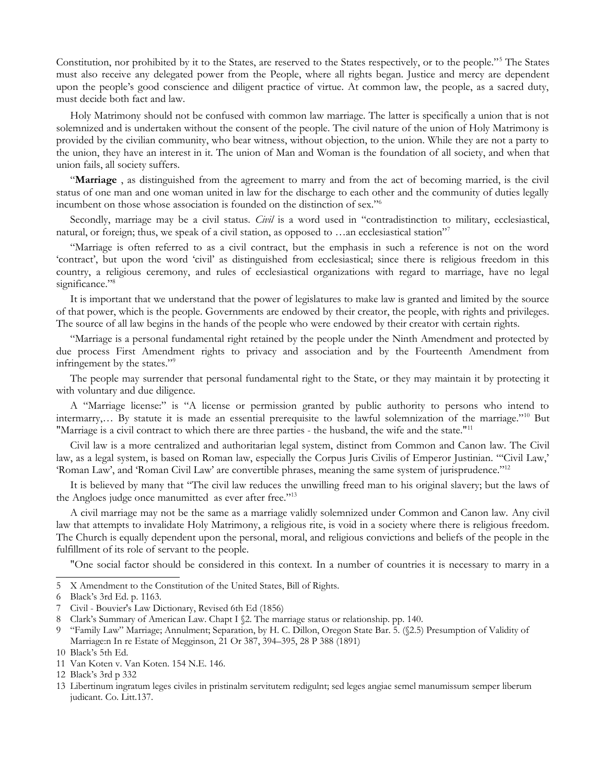Constitution, nor prohibited by it to the States, are reserved to the States respectively, or to the people."[5](#page-2-0) The States must also receive any delegated power from the People, where all rights began. Justice and mercy are dependent upon the people's good conscience and diligent practice of virtue. At common law, the people, as a sacred duty, must decide both fact and law.

Holy Matrimony should not be confused with common law marriage. The latter is specifically a union that is not solemnized and is undertaken without the consent of the people. The civil nature of the union of Holy Matrimony is provided by the civilian community, who bear witness, without objection, to the union. While they are not a party to the union, they have an interest in it. The union of Man and Woman is the foundation of all society, and when that union fails, all society suffers.

"**Marriage** , as distinguished from the agreement to marry and from the act of becoming married, is the civil status of one man and one woman united in law for the discharge to each other and the community of duties legally incumbent on those whose association is founded on the distinction of sex."[6](#page-2-1)

Secondly, marriage may be a civil status. *Civil* is a word used in "contradistinction to military, ecclesiastical, natural, or foreign; thus, we speak of a civil station, as opposed to …an ecclesiastical station"<sup>[7](#page-2-2)</sup>

"Marriage is often referred to as a civil contract, but the emphasis in such a reference is not on the word 'contract', but upon the word 'civil' as distinguished from ecclesiastical; since there is religious freedom in this country, a religious ceremony, and rules of ecclesiastical organizations with regard to marriage, have no legal significance."<sup>[8](#page-2-3)</sup>

It is important that we understand that the power of legislatures to make law is granted and limited by the source of that power, which is the people. Governments are endowed by their creator, the people, with rights and privileges. The source of all law begins in the hands of the people who were endowed by their creator with certain rights.

"Marriage is a personal fundamental right retained by the people under the Ninth Amendment and protected by due process First Amendment rights to privacy and association and by the Fourteenth Amendment from infringement by the states."[9](#page-2-4)

The people may surrender that personal fundamental right to the State, or they may maintain it by protecting it with voluntary and due diligence.

A "Marriage license:" is "A license or permission granted by public authority to persons who intend to intermarry,… By statute it is made an essential prerequisite to the lawful solemnization of the marriage."[10](#page-2-5) But "Marriage is a civil contract to which there are three parties - the husband, the wife and the state."[11](#page-2-6)

Civil law is a more centralized and authoritarian legal system, distinct from Common and Canon law. The Civil law, as a legal system, is based on Roman law, especially the Corpus Juris Civilis of Emperor Justinian. "'Civil Law,' 'Roman Law', and 'Roman Civil Law' are convertible phrases, meaning the same system of jurisprudence."[12](#page-2-7)

It is believed by many that "The civil law reduces the unwilling freed man to his original slavery; but the laws of the Angloes judge once manumitted as ever after free."<sup>[13](#page-2-8)</sup>

A civil marriage may not be the same as a marriage validly solemnized under Common and Canon law. Any civil law that attempts to invalidate Holy Matrimony, a religious rite, is void in a society where there is religious freedom. The Church is equally dependent upon the personal, moral, and religious convictions and beliefs of the people in the fulfillment of its role of servant to the people.

"One social factor should be considered in this context. In a number of countries it is necessary to marry in a

<span id="page-2-0"></span><sup>5</sup> X Amendment to the Constitution of the United States, Bill of Rights.

<span id="page-2-1"></span><sup>6</sup> Black's 3rd Ed. p. 1163.

<span id="page-2-2"></span><sup>7</sup> Civil - Bouvier's Law Dictionary, Revised 6th Ed (1856)

<span id="page-2-3"></span><sup>8</sup> Clark's Summary of American Law. Chapt I  $\S$ 2. The marriage status or relationship. pp. 140.

<span id="page-2-4"></span><sup>9</sup> "Family Law" Marriage; Annulment; Separation, by H. C. Dillon, Oregon State Bar. 5. (§2.5) Presumption of Validity of Marriage:n In re Estate of Megginson, 21 Or 387, 394–395, 28 P 388 (1891)

<span id="page-2-5"></span><sup>10</sup> Black's 5th Ed.

<span id="page-2-6"></span><sup>11</sup> Van Koten v. Van Koten. 154 N.E. 146.

<span id="page-2-7"></span><sup>12</sup> Black's 3rd p 332

<span id="page-2-8"></span><sup>13</sup> Libertinum ingratum leges civiles in pristinalm servitutem redigulnt; sed leges angiae semel manumissum semper liberum judicant. Co. Litt.137.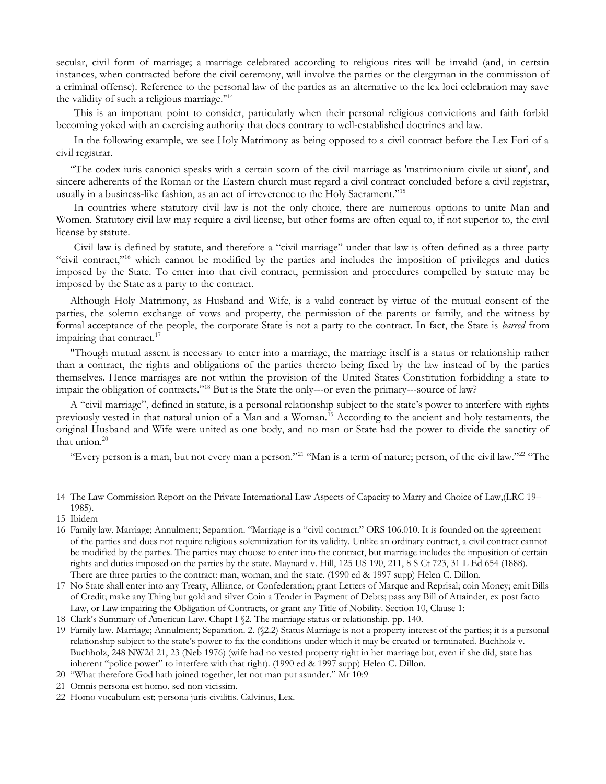secular, civil form of marriage; a marriage celebrated according to religious rites will be invalid (and, in certain instances, when contracted before the civil ceremony, will involve the parties or the clergyman in the commission of a criminal offense). Reference to the personal law of the parties as an alternative to the lex loci celebration may save the validity of such a religious marriage."[14](#page-3-0)

This is an important point to consider, particularly when their personal religious convictions and faith forbid becoming yoked with an exercising authority that does contrary to well-established doctrines and law.

In the following example, we see Holy Matrimony as being opposed to a civil contract before the Lex Fori of a civil registrar.

"The codex iuris canonici speaks with a certain scorn of the civil marriage as 'matrimonium civile ut aiunt', and sincere adherents of the Roman or the Eastern church must regard a civil contract concluded before a civil registrar, usually in a business-like fashion, as an act of irreverence to the Holy Sacrament."<sup>[15](#page-3-1)</sup>

In countries where statutory civil law is not the only choice, there are numerous options to unite Man and Women. Statutory civil law may require a civil license, but other forms are often equal to, if not superior to, the civil license by statute.

Civil law is defined by statute, and therefore a "civil marriage" under that law is often defined as a three party "civil contract,"[16](#page-3-2) which cannot be modified by the parties and includes the imposition of privileges and duties imposed by the State. To enter into that civil contract, permission and procedures compelled by statute may be imposed by the State as a party to the contract.

Although Holy Matrimony, as Husband and Wife, is a valid contract by virtue of the mutual consent of the parties, the solemn exchange of vows and property, the permission of the parents or family, and the witness by formal acceptance of the people, the corporate State is not a party to the contract. In fact, the State is *barred* from impairing that contract.<sup>[17](#page-3-3)</sup>

"Though mutual assent is necessary to enter into a marriage, the marriage itself is a status or relationship rather than a contract, the rights and obligations of the parties thereto being fixed by the law instead of by the parties themselves. Hence marriages are not within the provision of the United States Constitution forbidding a state to impair the obligation of contracts."[18](#page-3-4) But is the State the only---or even the primary---source of law?

A "civil marriage", defined in statute, is a personal relationship subject to the state's power to interfere with rights previously vested in that natural union of a Man and a Woman.<sup>[19](#page-3-5)</sup> According to the ancient and holy testaments, the original Husband and Wife were united as one body, and no man or State had the power to divide the sanctity of that union.<sup>[20](#page-3-6)</sup>

"Every person is a man, but not every man a person."<sup>[21](#page-3-7)</sup> "Man is a term of nature; person, of the civil law."<sup>[22](#page-3-8)</sup> "The

<span id="page-3-0"></span><sup>14</sup> The Law Commission Report on the Private International Law Aspects of Capacity to Marry and Choice of Law,(LRC 19– 1985).

<span id="page-3-1"></span><sup>15</sup> Ibidem

<span id="page-3-2"></span><sup>16</sup> Family law. Marriage; Annulment; Separation. "Marriage is a "civil contract." ORS 106.010. It is founded on the agreement of the parties and does not require religious solemnization for its validity. Unlike an ordinary contract, a civil contract cannot be modified by the parties. The parties may choose to enter into the contract, but marriage includes the imposition of certain rights and duties imposed on the parties by the state. Maynard v. Hill, 125 US 190, 211, 8 S Ct 723, 31 L Ed 654 (1888). There are three parties to the contract: man, woman, and the state. (1990 ed & 1997 supp) Helen C. Dillon.

<span id="page-3-3"></span><sup>17</sup> No State shall enter into any Treaty, Alliance, or Confederation; grant Letters of Marque and Reprisal; coin Money; emit Bills of Credit; make any Thing but gold and silver Coin a Tender in Payment of Debts; pass any Bill of Attainder, ex post facto Law, or Law impairing the Obligation of Contracts, or grant any Title of Nobility. Section 10, Clause 1:

<span id="page-3-4"></span><sup>18</sup> Clark's Summary of American Law. Chapt I §2. The marriage status or relationship. pp. 140.

<span id="page-3-5"></span><sup>19</sup> Family law. Marriage; Annulment; Separation. 2. (§2.2) Status Marriage is not a property interest of the parties; it is a personal relationship subject to the state's power to fix the conditions under which it may be created or terminated. Buchholz v. Buchholz, 248 NW2d 21, 23 (Neb 1976) (wife had no vested property right in her marriage but, even if she did, state has inherent "police power" to interfere with that right). (1990 ed & 1997 supp) Helen C. Dillon.

<span id="page-3-6"></span><sup>20</sup> "What therefore God hath joined together, let not man put asunder." Mr 10:9

<span id="page-3-7"></span><sup>21</sup> Omnis persona est homo, sed non vicissim.

<span id="page-3-8"></span><sup>22</sup> Homo vocabulum est; persona juris civilitis. Calvinus, Lex.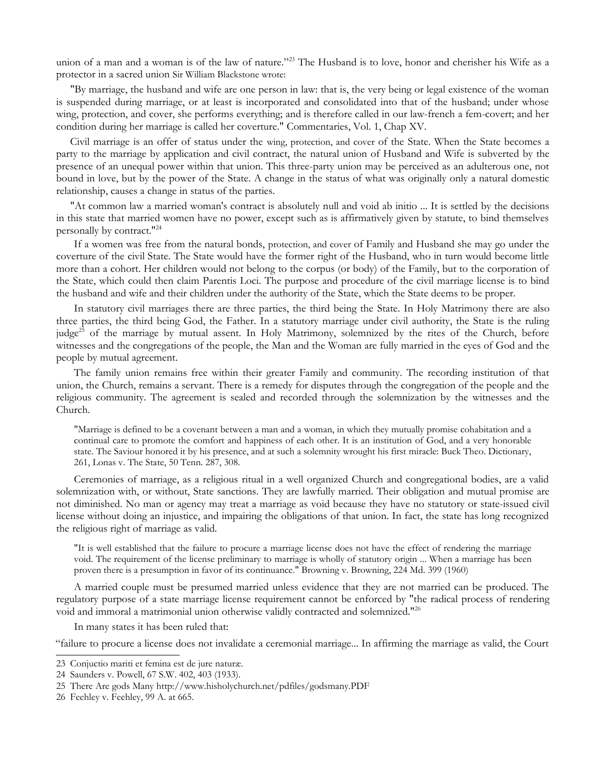union of a man and a woman is of the law of nature."<sup>[23](#page-4-0)</sup> The Husband is to love, honor and cherisher his Wife as a protector in a sacred union Sir William Blackstone wrote:

"By marriage, the husband and wife are one person in law: that is, the very being or legal existence of the woman is suspended during marriage, or at least is incorporated and consolidated into that of the husband; under whose wing, protection, and cover, she performs everything; and is therefore called in our law-french a fem-covert; and her condition during her marriage is called her coverture." Commentaries, Vol. 1, Chap XV.

Civil marriage is an offer of status under the wing, protection, and cover of the State. When the State becomes a party to the marriage by application and civil contract, the natural union of Husband and Wife is subverted by the presence of an unequal power within that union. This three-party union may be perceived as an adulterous one, not bound in love, but by the power of the State. A change in the status of what was originally only a natural domestic relationship, causes a change in status of the parties.

"At common law a married woman's contract is absolutely null and void ab initio ... It is settled by the decisions in this state that married women have no power, except such as is affirmatively given by statute, to bind themselves personally by contract."[24](#page-4-1)

If a women was free from the natural bonds, protection, and cover of Family and Husband she may go under the coverture of the civil State. The State would have the former right of the Husband, who in turn would become little more than a cohort. Her children would not belong to the corpus (or body) of the Family, but to the corporation of the State, which could then claim Parentis Loci. The purpose and procedure of the civil marriage license is to bind the husband and wife and their children under the authority of the State, which the State deems to be proper.

In statutory civil marriages there are three parties, the third being the State. In Holy Matrimony there are also three parties, the third being God, the Father. In a statutory marriage under civil authority, the State is the ruling judge<sup>[25](#page-4-2)</sup> of the marriage by mutual assent. In Holy Matrimony, solemnized by the rites of the Church, before witnesses and the congregations of the people, the Man and the Woman are fully married in the eyes of God and the people by mutual agreement.

The family union remains free within their greater Family and community. The recording institution of that union, the Church, remains a servant. There is a remedy for disputes through the congregation of the people and the religious community. The agreement is sealed and recorded through the solemnization by the witnesses and the Church.

"Marriage is defined to be a covenant between a man and a woman, in which they mutually promise cohabitation and a continual care to promote the comfort and happiness of each other. It is an institution of God, and a very honorable state. The Saviour honored it by his presence, and at such a solemnity wrought his first miracle: Buck Theo. Dictionary, 261, Lonas v. The State, 50 Tenn. 287, 308.

Ceremonies of marriage, as a religious ritual in a well organized Church and congregational bodies, are a valid solemnization with, or without, State sanctions. They are lawfully married. Their obligation and mutual promise are not diminished. No man or agency may treat a marriage as void because they have no statutory or state-issued civil license without doing an injustice, and impairing the obligations of that union. In fact, the state has long recognized the religious right of marriage as valid.

"It is well established that the failure to procure a marriage license does not have the effect of rendering the marriage void. The requirement of the license preliminary to marriage is wholly of statutory origin ... When a marriage has been proven there is a presumption in favor of its continuance." Browning v. Browning, 224 Md. 399 (1960)

A married couple must be presumed married unless evidence that they are not married can be produced. The regulatory purpose of a state marriage license requirement cannot be enforced by "the radical process of rendering void and immoral a matrimonial union otherwise validly contracted and solemnized."[26](#page-4-3)

In many states it has been ruled that:

"failure to procure a license does not invalidate a ceremonial marriage... In affirming the marriage as valid, the Court

<span id="page-4-0"></span><sup>23</sup> Conjuctio mariti et femina est de jure naturæ.

<span id="page-4-1"></span><sup>24</sup> Saunders v. Powell, 67 S.W. 402, 403 (1933).

<span id="page-4-2"></span><sup>25</sup> There Are gods Many http://www.hisholychurch.net/pdfiles/godsmany.PDF

<span id="page-4-3"></span><sup>26</sup> Feehley v. Feehley, 99 A. at 665.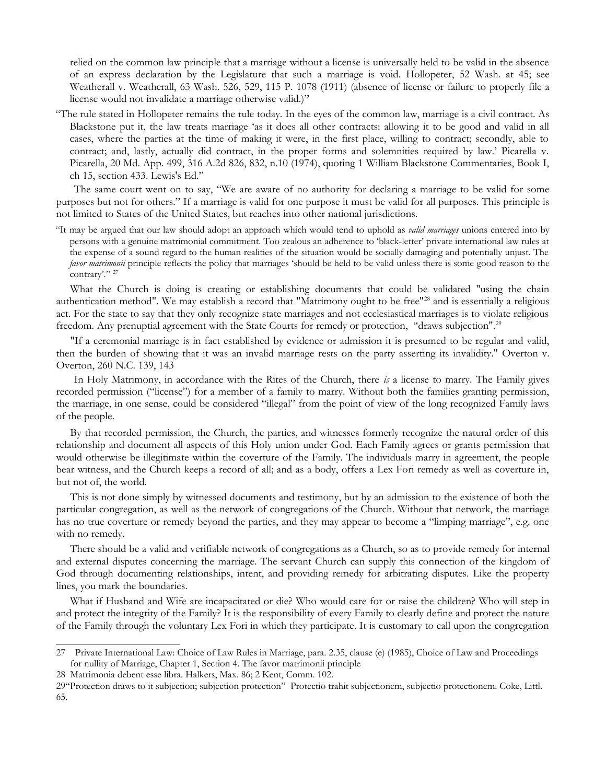relied on the common law principle that a marriage without a license is universally held to be valid in the absence of an express declaration by the Legislature that such a marriage is void. Hollopeter, 52 Wash. at 45; see Weatherall v. Weatherall, 63 Wash. 526, 529, 115 P. 1078 (1911) (absence of license or failure to properly file a license would not invalidate a marriage otherwise valid.)"

"The rule stated in Hollopeter remains the rule today. In the eyes of the common law, marriage is a civil contract. As Blackstone put it, the law treats marriage 'as it does all other contracts: allowing it to be good and valid in all cases, where the parties at the time of making it were, in the first place, willing to contract; secondly, able to contract; and, lastly, actually did contract, in the proper forms and solemnities required by law.' Picarella v. Picarella, 20 Md. App. 499, 316 A.2d 826, 832, n.10 (1974), quoting 1 William Blackstone Commentaries, Book I, ch 15, section 433. Lewis's Ed."

The same court went on to say, "We are aware of no authority for declaring a marriage to be valid for some purposes but not for others." If a marriage is valid for one purpose it must be valid for all purposes. This principle is not limited to States of the United States, but reaches into other national jurisdictions.

"It may be argued that our law should adopt an approach which would tend to uphold as *valid marriages* unions entered into by persons with a genuine matrimonial commitment. Too zealous an adherence to 'black-letter' private international law rules at the expense of a sound regard to the human realities of the situation would be socially damaging and potentially unjust. The *favor matrimonii* principle reflects the policy that marriages 'should be held to be valid unless there is some good reason to the contrary'." <sup>[27](#page-5-0)</sup>

What the Church is doing is creating or establishing documents that could be validated "using the chain authentication method". We may establish a record that "Matrimony ought to be free"<sup>[28](#page-5-1)</sup> and is essentially a religious act. For the state to say that they only recognize state marriages and not ecclesiastical marriages is to violate religious freedom. Any prenuptial agreement with the State Courts for remedy or protection, "draws subjection".[29](#page-5-2)

"If a ceremonial marriage is in fact established by evidence or admission it is presumed to be regular and valid, then the burden of showing that it was an invalid marriage rests on the party asserting its invalidity." Overton v. Overton, 260 N.C. 139, 143

In Holy Matrimony, in accordance with the Rites of the Church, there *is* a license to marry. The Family gives recorded permission ("license") for a member of a family to marry. Without both the families granting permission, the marriage, in one sense, could be considered "illegal" from the point of view of the long recognized Family laws of the people.

By that recorded permission, the Church, the parties, and witnesses formerly recognize the natural order of this relationship and document all aspects of this Holy union under God. Each Family agrees or grants permission that would otherwise be illegitimate within the coverture of the Family. The individuals marry in agreement, the people bear witness, and the Church keeps a record of all; and as a body, offers a Lex Fori remedy as well as coverture in, but not of, the world.

This is not done simply by witnessed documents and testimony, but by an admission to the existence of both the particular congregation, as well as the network of congregations of the Church. Without that network, the marriage has no true coverture or remedy beyond the parties, and they may appear to become a "limping marriage", e.g. one with no remedy.

There should be a valid and verifiable network of congregations as a Church, so as to provide remedy for internal and external disputes concerning the marriage. The servant Church can supply this connection of the kingdom of God through documenting relationships, intent, and providing remedy for arbitrating disputes. Like the property lines, you mark the boundaries.

What if Husband and Wife are incapacitated or die? Who would care for or raise the children? Who will step in and protect the integrity of the Family? It is the responsibility of every Family to clearly define and protect the nature of the Family through the voluntary Lex Fori in which they participate. It is customary to call upon the congregation

<span id="page-5-0"></span><sup>27</sup> Private International Law: Choice of Law Rules in Marriage, para. 2.35, clause (e) (1985), Choice of Law and Proceedings for nullity of Marriage, Chapter 1, Section 4. The favor matrimonii principle

<span id="page-5-1"></span><sup>28</sup> Matrimonia debent esse libra. Halkers, Max. 86; 2 Kent, Comm. 102.

<span id="page-5-2"></span><sup>29&</sup>quot;Protection draws to it subjection; subjection protection" Protectio trahit subjectionem, subjectio protectionem. Coke, Littl. 65.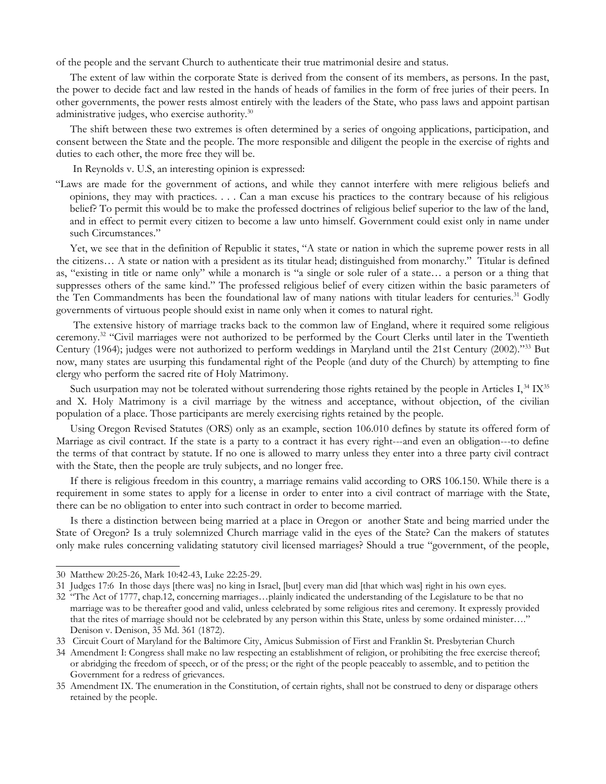of the people and the servant Church to authenticate their true matrimonial desire and status.

The extent of law within the corporate State is derived from the consent of its members, as persons. In the past, the power to decide fact and law rested in the hands of heads of families in the form of free juries of their peers. In other governments, the power rests almost entirely with the leaders of the State, who pass laws and appoint partisan administrative judges, who exercise authority. $30$ 

The shift between these two extremes is often determined by a series of ongoing applications, participation, and consent between the State and the people. The more responsible and diligent the people in the exercise of rights and duties to each other, the more free they will be.

In Reynolds v. U.S, an interesting opinion is expressed:

"Laws are made for the government of actions, and while they cannot interfere with mere religious beliefs and opinions, they may with practices. . . . Can a man excuse his practices to the contrary because of his religious belief? To permit this would be to make the professed doctrines of religious belief superior to the law of the land, and in effect to permit every citizen to become a law unto himself. Government could exist only in name under such Circumstances."

Yet, we see that in the definition of Republic it states, "A state or nation in which the supreme power rests in all the citizens… A state or nation with a president as its titular head; distinguished from monarchy." Titular is defined as, "existing in title or name only" while a monarch is "a single or sole ruler of a state… a person or a thing that suppresses others of the same kind." The professed religious belief of every citizen within the basic parameters of the Ten Commandments has been the foundational law of many nations with titular leaders for centuries.<sup>[31](#page-6-1)</sup> Godly governments of virtuous people should exist in name only when it comes to natural right.

 The extensive history of marriage tracks back to the common law of England, where it required some religious ceremony.[32](#page-6-2) "Civil marriages were not authorized to be performed by the Court Clerks until later in the Twentieth Century (1964); judges were not authorized to perform weddings in Maryland until the 21st Century (2002)."[33](#page-6-3) But now, many states are usurping this fundamental right of the People (and duty of the Church) by attempting to fine clergy who perform the sacred rite of Holy Matrimony.

Such usurpation may not be tolerated without surrendering those rights retained by the people in Articles I,<sup>[34](#page-6-4)</sup> IX<sup>[35](#page-6-5)</sup> and X. Holy Matrimony is a civil marriage by the witness and acceptance, without objection, of the civilian population of a place. Those participants are merely exercising rights retained by the people.

Using Oregon Revised Statutes (ORS) only as an example, section 106.010 defines by statute its offered form of Marriage as civil contract. If the state is a party to a contract it has every right---and even an obligation---to define the terms of that contract by statute. If no one is allowed to marry unless they enter into a three party civil contract with the State, then the people are truly subjects, and no longer free.

If there is religious freedom in this country, a marriage remains valid according to ORS 106.150. While there is a requirement in some states to apply for a license in order to enter into a civil contract of marriage with the State, there can be no obligation to enter into such contract in order to become married.

Is there a distinction between being married at a place in Oregon or another State and being married under the State of Oregon? Is a truly solemnized Church marriage valid in the eyes of the State? Can the makers of statutes only make rules concerning validating statutory civil licensed marriages? Should a true "government, of the people,

<span id="page-6-0"></span><sup>30</sup> Matthew 20:25-26, Mark 10:42-43, Luke 22:25-29.

<span id="page-6-1"></span><sup>31</sup> Judges 17:6 In those days [there was] no king in Israel, [but] every man did [that which was] right in his own eyes.

<span id="page-6-2"></span><sup>32</sup> "The Act of 1777, chap.12, concerning marriages…plainly indicated the understanding of the Legislature to be that no marriage was to be thereafter good and valid, unless celebrated by some religious rites and ceremony. It expressly provided that the rites of marriage should not be celebrated by any person within this State, unless by some ordained minister…." Denison v. Denison, 35 Md. 361 (1872).

<span id="page-6-3"></span><sup>33</sup> Circuit Court of Maryland for the Baltimore City, Amicus Submission of First and Franklin St. Presbyterian Church

<span id="page-6-4"></span><sup>34</sup> Amendment I: Congress shall make no law respecting an establishment of religion, or prohibiting the free exercise thereof; or abridging the freedom of speech, or of the press; or the right of the people peaceably to assemble, and to petition the Government for a redress of grievances.

<span id="page-6-5"></span><sup>35</sup> Amendment IX. The enumeration in the Constitution, of certain rights, shall not be construed to deny or disparage others retained by the people.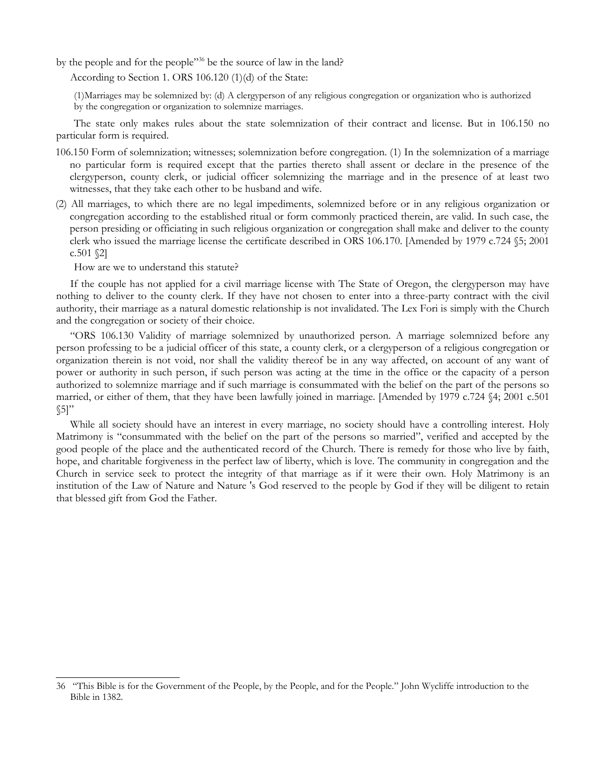by the people and for the people"<sup>[36](#page-7-0)</sup> be the source of law in the land?

According to Section 1. ORS 106.120 (1)(d) of the State:

(1)Marriages may be solemnized by: (d) A clergyperson of any religious congregation or organization who is authorized by the congregation or organization to solemnize marriages.

The state only makes rules about the state solemnization of their contract and license. But in 106.150 no particular form is required.

- 106.150 Form of solemnization; witnesses; solemnization before congregation. (1) In the solemnization of a marriage no particular form is required except that the parties thereto shall assent or declare in the presence of the clergyperson, county clerk, or judicial officer solemnizing the marriage and in the presence of at least two witnesses, that they take each other to be husband and wife.
- (2) All marriages, to which there are no legal impediments, solemnized before or in any religious organization or congregation according to the established ritual or form commonly practiced therein, are valid. In such case, the person presiding or officiating in such religious organization or congregation shall make and deliver to the county clerk who issued the marriage license the certificate described in ORS 106.170. [Amended by 1979 c.724 §5; 2001 c.501 $$2]$

How are we to understand this statute?

If the couple has not applied for a civil marriage license with The State of Oregon, the clergyperson may have nothing to deliver to the county clerk. If they have not chosen to enter into a three-party contract with the civil authority, their marriage as a natural domestic relationship is not invalidated. The Lex Fori is simply with the Church and the congregation or society of their choice.

"ORS 106.130 Validity of marriage solemnized by unauthorized person. A marriage solemnized before any person professing to be a judicial officer of this state, a county clerk, or a clergyperson of a religious congregation or organization therein is not void, nor shall the validity thereof be in any way affected, on account of any want of power or authority in such person, if such person was acting at the time in the office or the capacity of a person authorized to solemnize marriage and if such marriage is consummated with the belief on the part of the persons so married, or either of them, that they have been lawfully joined in marriage. [Amended by 1979 c.724 §4; 2001 c.501  $\S5$ "

While all society should have an interest in every marriage, no society should have a controlling interest. Holy Matrimony is "consummated with the belief on the part of the persons so married", verified and accepted by the good people of the place and the authenticated record of the Church. There is remedy for those who live by faith, hope, and charitable forgiveness in the perfect law of liberty, which is love. The community in congregation and the Church in service seek to protect the integrity of that marriage as if it were their own. Holy Matrimony is an institution of the Law of Nature and Nature 's God reserved to the people by God if they will be diligent to retain that blessed gift from God the Father.

<span id="page-7-0"></span><sup>36 &</sup>quot;This Bible is for the Government of the People, by the People, and for the People." John Wycliffe introduction to the Bible in 1382.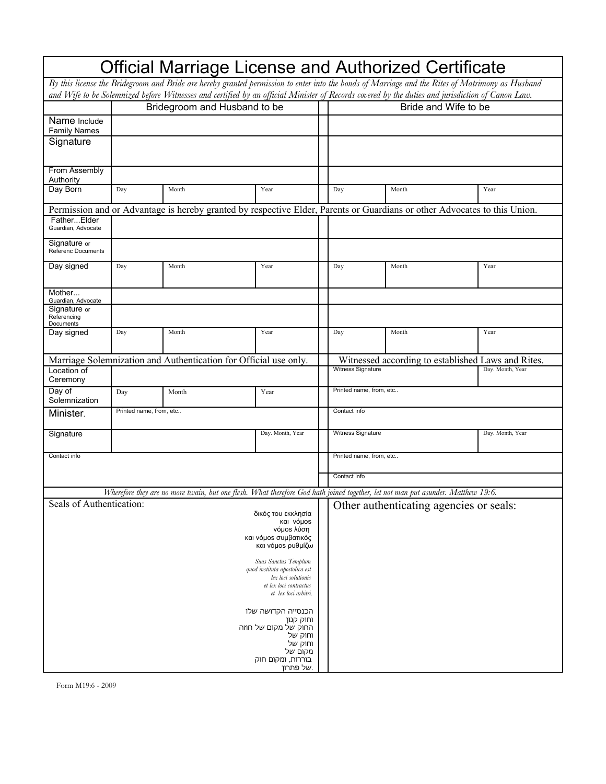| Official Marriage License and Authorized Certificate                                                                                             |                              |       |                                                                                                                                                  |  |                         |                                                    |      |                  |
|--------------------------------------------------------------------------------------------------------------------------------------------------|------------------------------|-------|--------------------------------------------------------------------------------------------------------------------------------------------------|--|-------------------------|----------------------------------------------------|------|------------------|
| By this license the Bridegroom and Bride are hereby granted permission to enter into the bonds of Marriage and the Rites of Matrimony as Husband |                              |       |                                                                                                                                                  |  |                         |                                                    |      |                  |
|                                                                                                                                                  |                              |       | and Wife to be Solemnized before Witnesses and certified by an official Minister of Records covered by the duties and jurisdiction of Canon Law. |  |                         |                                                    |      |                  |
|                                                                                                                                                  | Bridegroom and Husband to be |       |                                                                                                                                                  |  | Bride and Wife to be    |                                                    |      |                  |
| Name Include<br><b>Family Names</b>                                                                                                              |                              |       |                                                                                                                                                  |  |                         |                                                    |      |                  |
| Signature                                                                                                                                        |                              |       |                                                                                                                                                  |  |                         |                                                    |      |                  |
| From Assembly<br>Authority                                                                                                                       |                              |       |                                                                                                                                                  |  |                         |                                                    |      |                  |
| Day Born                                                                                                                                         | Day                          | Month | Year                                                                                                                                             |  | Day                     | Month                                              | Year |                  |
|                                                                                                                                                  |                              |       | Permission and or Advantage is hereby granted by respective Elder, Parents or Guardians or other Advocates to this Union.                        |  |                         |                                                    |      |                  |
| FatherElder<br>Guardian, Advocate                                                                                                                |                              |       |                                                                                                                                                  |  |                         |                                                    |      |                  |
| Signature or<br>Referenc Documents                                                                                                               |                              |       |                                                                                                                                                  |  |                         |                                                    |      |                  |
| Day signed                                                                                                                                       | Day                          | Month | Year                                                                                                                                             |  | Day                     | Month                                              | Year |                  |
| Mother<br>Guardian, Advocate                                                                                                                     |                              |       |                                                                                                                                                  |  |                         |                                                    |      |                  |
| Signature or<br>Referencing<br>Documents                                                                                                         |                              |       |                                                                                                                                                  |  |                         |                                                    |      |                  |
| Day signed                                                                                                                                       | Day                          | Month | Year                                                                                                                                             |  | Day                     | Month                                              | Year |                  |
|                                                                                                                                                  |                              |       | Marriage Solemnization and Authentication for Official use only.                                                                                 |  |                         | Witnessed according to established Laws and Rites. |      |                  |
| Location of<br>Ceremony                                                                                                                          |                              |       |                                                                                                                                                  |  | Witness Signature       |                                                    |      | Day. Month, Year |
| Day of<br>Solemnization                                                                                                                          | Day                          | Month | Year                                                                                                                                             |  | Printed name, from, etc |                                                    |      |                  |
| Minister.                                                                                                                                        | Printed name, from, etc      |       |                                                                                                                                                  |  | Contact info            |                                                    |      |                  |
| Signature                                                                                                                                        |                              |       | Day. Month, Year                                                                                                                                 |  | Witness Signature       |                                                    |      | Day. Month, Year |
| Contact info                                                                                                                                     |                              |       |                                                                                                                                                  |  | Printed name, from, etc |                                                    |      |                  |
|                                                                                                                                                  |                              |       |                                                                                                                                                  |  | Contact info            |                                                    |      |                  |
|                                                                                                                                                  |                              |       | Wherefore they are no more twain, but one flesh. What therefore God hath joined together, let not man put asunder. Matthew 19:6.                 |  |                         |                                                    |      |                  |
| Seals of Authentication:<br>δικός του εκκλησία<br>και νόμοs<br>νόμος λύση<br>και νόμος συμβατικός<br>και νόμος ρυθμίζω                           |                              |       |                                                                                                                                                  |  |                         | Other authenticating agencies or seals:            |      |                  |
| Suus Sanctus Templum<br>quod instituta apostolica est<br>lex loci solutionis<br>et lex loci contractus<br>et lex loci arbitri.                   |                              |       |                                                                                                                                                  |  |                         |                                                    |      |                  |
| הכנסייה הקדושה שלו<br>וחוק קנון<br>החוק של מקום של חוזה<br>וחוק של<br>וחוק של<br>מקום של<br>בוררות, ומקום חוק<br>של פתרון.                       |                              |       |                                                                                                                                                  |  |                         |                                                    |      |                  |

Form M19:6 - 2009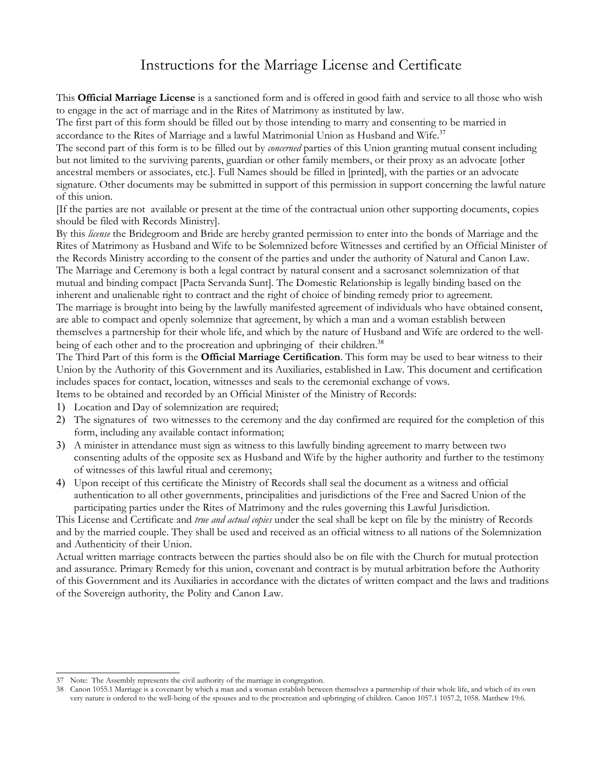## Instructions for the Marriage License and Certificate

This **Official Marriage License** is a sanctioned form and is offered in good faith and service to all those who wish to engage in the act of marriage and in the Rites of Matrimony as instituted by law.

The first part of this form should be filled out by those intending to marry and consenting to be married in accordance to the Rites of Marriage and a lawful Matrimonial Union as Husband and Wife.<sup>[37](#page-9-0)</sup>

The second part of this form is to be filled out by *concerned* parties of this Union granting mutual consent including but not limited to the surviving parents, guardian or other family members, or their proxy as an advocate [other ancestral members or associates, etc.]. Full Names should be filled in [printed], with the parties or an advocate signature. Other documents may be submitted in support of this permission in support concerning the lawful nature of this union.

[If the parties are not available or present at the time of the contractual union other supporting documents, copies should be filed with Records Ministry].

By this *license* the Bridegroom and Bride are hereby granted permission to enter into the bonds of Marriage and the Rites of Matrimony as Husband and Wife to be Solemnized before Witnesses and certified by an Official Minister of the Records Ministry according to the consent of the parties and under the authority of Natural and Canon Law. The Marriage and Ceremony is both a legal contract by natural consent and a sacrosanct solemnization of that mutual and binding compact [Pacta Servanda Sunt]. The Domestic Relationship is legally binding based on the inherent and unalienable right to contract and the right of choice of binding remedy prior to agreement.

The marriage is brought into being by the lawfully manifested agreement of individuals who have obtained consent, are able to compact and openly solemnize that agreement, by which a man and a woman establish between themselves a partnership for their whole life, and which by the nature of Husband and Wife are ordered to the well-being of each other and to the procreation and upbringing of their children.<sup>[38](#page-9-1)</sup>

The Third Part of this form is the **Official Marriage Certification**. This form may be used to bear witness to their Union by the Authority of this Government and its Auxiliaries, established in Law. This document and certification includes spaces for contact, location, witnesses and seals to the ceremonial exchange of vows.

Items to be obtained and recorded by an Official Minister of the Ministry of Records:

- 1) Location and Day of solemnization are required;
- 2) The signatures of two witnesses to the ceremony and the day confirmed are required for the completion of this form, including any available contact information;
- 3) A minister in attendance must sign as witness to this lawfully binding agreement to marry between two consenting adults of the opposite sex as Husband and Wife by the higher authority and further to the testimony of witnesses of this lawful ritual and ceremony;
- 4) Upon receipt of this certificate the Ministry of Records shall seal the document as a witness and official authentication to all other governments, principalities and jurisdictions of the Free and Sacred Union of the participating parties under the Rites of Matrimony and the rules governing this Lawful Jurisdiction.

This License and Certificate and *true and actual copies* under the seal shall be kept on file by the ministry of Records and by the married couple. They shall be used and received as an official witness to all nations of the Solemnization and Authenticity of their Union.

Actual written marriage contracts between the parties should also be on file with the Church for mutual protection and assurance. Primary Remedy for this union, covenant and contract is by mutual arbitration before the Authority of this Government and its Auxiliaries in accordance with the dictates of written compact and the laws and traditions of the Sovereign authority, the Polity and Canon Law.

<span id="page-9-0"></span><sup>37</sup> Note: The Assembly represents the civil authority of the marriage in congregation.

<span id="page-9-1"></span><sup>38</sup> Canon 1055.1 Marriage is a covenant by which a man and a woman establish between themselves a partnership of their whole life, and which of its own very nature is ordered to the well-being of the spouses and to the procreation and upbringing of children. Canon 1057.1 1057.2, 1058. Matthew 19:6.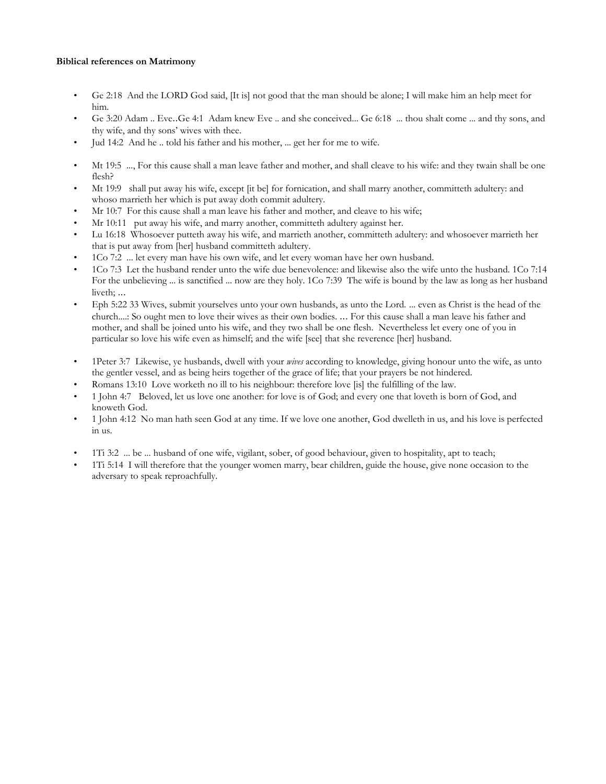#### **Biblical references on Matrimony**

- Ge 2:18 And the LORD God said, [It is] not good that the man should be alone; I will make him an help meet for him.
- Ge 3:20 Adam .. Eve..Ge 4:1 Adam knew Eve .. and she conceived... Ge 6:18 ... thou shalt come ... and thy sons, and thy wife, and thy sons' wives with thee.
- Jud 14:2 And he .. told his father and his mother, ... get her for me to wife.
- Mt 19:5 ..., For this cause shall a man leave father and mother, and shall cleave to his wife: and they twain shall be one flesh?
- Mt 19:9 shall put away his wife, except [it be] for fornication, and shall marry another, committeth adultery: and whoso marrieth her which is put away doth commit adultery.
- Mr 10:7 For this cause shall a man leave his father and mother, and cleave to his wife;
- Mr 10:11 put away his wife, and marry another, committeth adultery against her.
- Lu 16:18 Whosoever putteth away his wife, and marrieth another, committeth adultery: and whosoever marrieth her that is put away from [her] husband committeth adultery.
- 1Co 7:2 ... let every man have his own wife, and let every woman have her own husband.
- 1Co 7:3 Let the husband render unto the wife due benevolence: and likewise also the wife unto the husband. 1Co 7:14 For the unbelieving ... is sanctified ... now are they holy. 1Co 7:39 The wife is bound by the law as long as her husband liveth; ...
- Eph 5:22 33 Wives, submit yourselves unto your own husbands, as unto the Lord. ... even as Christ is the head of the church....: So ought men to love their wives as their own bodies. ... For this cause shall a man leave his father and mother, and shall be joined unto his wife, and they two shall be one flesh. Nevertheless let every one of you in particular so love his wife even as himself; and the wife [see] that she reverence [her] husband.
- 1Peter 3:7 Likewise, ye husbands, dwell with your *wives* according to knowledge, giving honour unto the wife, as unto the gentler vessel, and as being heirs together of the grace of life; that your prayers be not hindered.
- Romans 13:10 Love worketh no ill to his neighbour: therefore love [is] the fulfilling of the law.
- 1 John 4:7 Beloved, let us love one another: for love is of God; and every one that loveth is born of God, and knoweth God.
- 1 John 4:12 No man hath seen God at any time. If we love one another, God dwelleth in us, and his love is perfected in us.
- 1Ti 3:2 ... be ... husband of one wife, vigilant, sober, of good behaviour, given to hospitality, apt to teach;
- 1Ti 5:14 I will therefore that the younger women marry, bear children, guide the house, give none occasion to the adversary to speak reproachfully.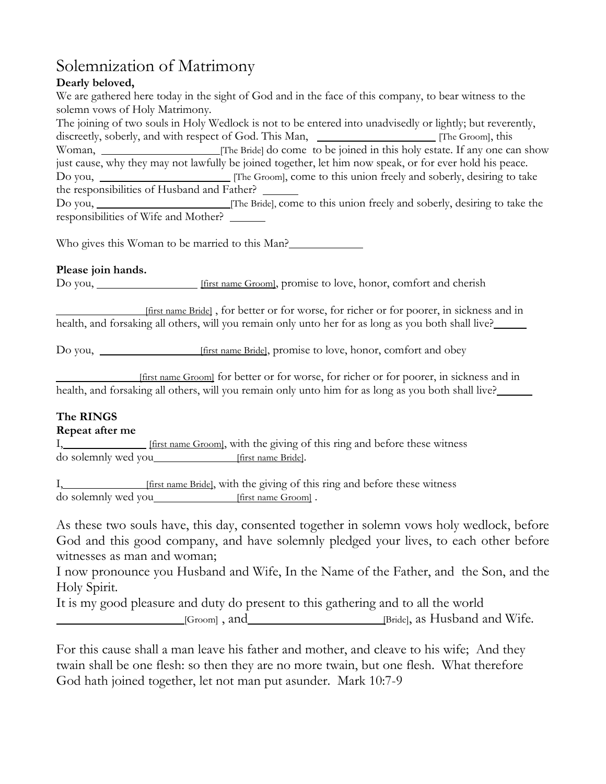# Solemnization of Matrimony

### **Dearly beloved,**

We are gathered here today in the sight of God and in the face of this company, to bear witness to the solemn vows of Holy Matrimony.

The joining of two souls in Holy Wedlock is not to be entered into unadvisedly or lightly; but reverently, discreetly, soberly, and with respect of God. This Man, \_\_\_\_\_\_\_\_\_\_\_\_\_\_\_\_\_\_\_\_\_\_\_\_ [The Groom], this Woman, [The Bride] do come to be joined in this holy estate. If any one can show just cause, why they may not lawfully be joined together, let him now speak, or for ever hold his peace. Do you, <u>Illie Groom]</u>, come to this union freely and soberly, desiring to take the responsibilities of Husband and Father? Do you, [The Bride], come to this union freely and soberly, desiring to take the

responsibilities of Wife and Mother?

Who gives this Woman to be married to this Man?

#### **Please join hands.**

Do you, <u>\_\_\_\_\_\_\_\_\_\_\_\_\_\_\_</u> [first name Groom], promise to love, honor, comfort and cherish

 [first name Bride] , for better or for worse, for richer or for poorer, in sickness and in health, and forsaking all others, will you remain only unto her for as long as you both shall live?

Do you, [first name Bride], promise to love, honor, comfort and obey

 [first name Groom] for better or for worse, for richer or for poorer, in sickness and in health, and forsaking all others, will you remain only unto him for as long as you both shall live?

## **The RINGS**

#### **Repeat after me**

I, [first name Groom], with the giving of this ring and before these witness do solemnly wed you [first name Bride].

I, [first name Bride], with the giving of this ring and before these witness do solemnly wed you [first name Groom] .

As these two souls have, this day, consented together in solemn vows holy wedlock, before God and this good company, and have solemnly pledged your lives, to each other before witnesses as man and woman;

I now pronounce you Husband and Wife, In the Name of the Father, and the Son, and the Holy Spirit.

It is my good pleasure and duty do present to this gathering and to all the world [Groom], and [Groom] and [Bride], as Husband and Wife.

For this cause shall a man leave his father and mother, and cleave to his wife; And they twain shall be one flesh: so then they are no more twain, but one flesh. What therefore God hath joined together, let not man put asunder. Mark 10:7-9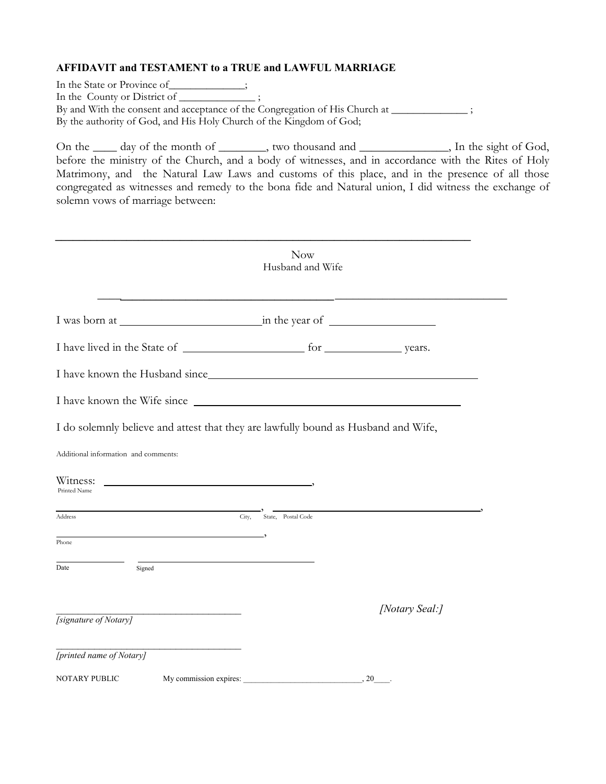#### **AFFIDAVIT and TESTAMENT to a TRUE and LAWFUL MARRIAGE**

In the State or Province of\_\_\_\_\_\_\_\_\_\_\_;

In the County or District of \_\_\_\_\_\_\_\_\_\_\_\_\_\_\_\_\_\_;

By and With the consent and acceptance of the Congregation of His Church at \_\_\_\_\_\_\_\_\_\_\_\_\_\_\_\_\_; By the authority of God, and His Holy Church of the Kingdom of God;

On the <u>sight of the month of second</u>, two thousand and second  $\mu$ , In the sight of God, before the ministry of the Church, and a body of witnesses, and in accordance with the Rites of Holy Matrimony, and the Natural Law Laws and customs of this place, and in the presence of all those congregated as witnesses and remedy to the bona fide and Natural union, I did witness the exchange of solemn vows of marriage between:

|                                                   | Now<br>Husband and Wife                                                            |                |
|---------------------------------------------------|------------------------------------------------------------------------------------|----------------|
|                                                   |                                                                                    |                |
|                                                   |                                                                                    |                |
|                                                   | I have known the Husband since_                                                    |                |
|                                                   |                                                                                    |                |
|                                                   | I do solemnly believe and attest that they are lawfully bound as Husband and Wife, |                |
| Additional information and comments:              |                                                                                    |                |
|                                                   |                                                                                    |                |
|                                                   |                                                                                    |                |
|                                                   | City,<br>State, Postal Code                                                        |                |
| Printed Name                                      |                                                                                    |                |
| Signed                                            |                                                                                    |                |
| Witness:<br>Address<br>Phone<br>Date              |                                                                                    | [Notary Seal:] |
|                                                   |                                                                                    |                |
| [signature of Notary]<br>[printed name of Notary] |                                                                                    |                |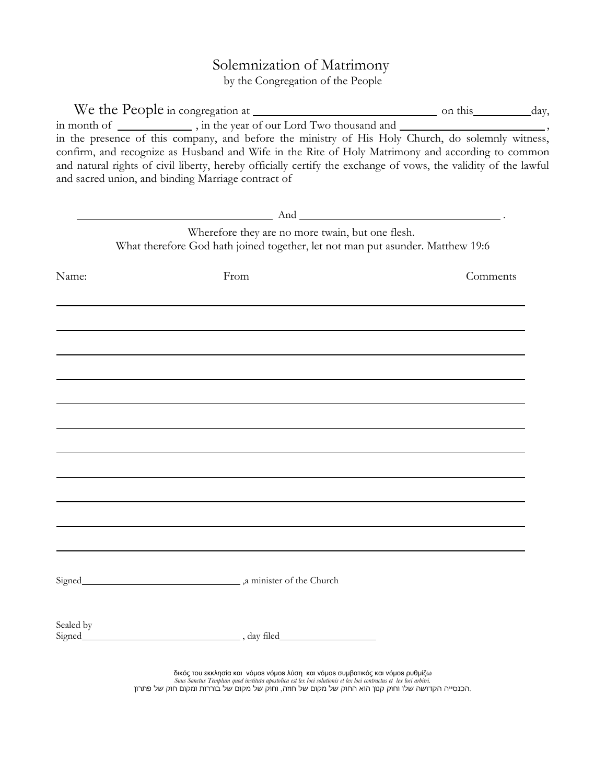## Solemnization of Matrimony

by the Congregation of the People

|                      | in month of ______________, in the year of our Lord Two thousand and _______________________________,<br>in the presence of this company, and before the ministry of His Holy Church, do solemnly witness,<br>confirm, and recognize as Husband and Wife in the Rite of Holy Matrimony and according to common<br>and natural rights of civil liberty, hereby officially certify the exchange of vows, the validity of the lawful<br>and sacred union, and binding Marriage contract of |          |  |
|----------------------|-----------------------------------------------------------------------------------------------------------------------------------------------------------------------------------------------------------------------------------------------------------------------------------------------------------------------------------------------------------------------------------------------------------------------------------------------------------------------------------------|----------|--|
|                      | $\mathsf{And}$ $\mathsf{And}$ $\mathsf{And}$ $\mathsf{And}$ $\mathsf{And}$ $\mathsf{And}$ $\mathsf{And}$ $\mathsf{And}$ $\mathsf{And}$ $\mathsf{And}$ $\mathsf{And}$ $\mathsf{And}$ $\mathsf{And}$ $\mathsf{And}$ $\mathsf{And}$ $\mathsf{And}$ $\mathsf{And}$ $\mathsf{And}$ $\mathsf{And}$ $\mathsf{And}$ $\mathsf{And}$ $\mathsf{And}$ $\mathsf{And}$ $\mathsf{And}$ $\mathsf{$                                                                                                      |          |  |
|                      | Wherefore they are no more twain, but one flesh.<br>What therefore God hath joined together, let not man put asunder. Matthew 19:6                                                                                                                                                                                                                                                                                                                                                      |          |  |
| Name:                | From                                                                                                                                                                                                                                                                                                                                                                                                                                                                                    | Comments |  |
|                      |                                                                                                                                                                                                                                                                                                                                                                                                                                                                                         |          |  |
|                      |                                                                                                                                                                                                                                                                                                                                                                                                                                                                                         |          |  |
|                      |                                                                                                                                                                                                                                                                                                                                                                                                                                                                                         |          |  |
|                      |                                                                                                                                                                                                                                                                                                                                                                                                                                                                                         |          |  |
|                      |                                                                                                                                                                                                                                                                                                                                                                                                                                                                                         |          |  |
|                      |                                                                                                                                                                                                                                                                                                                                                                                                                                                                                         |          |  |
|                      |                                                                                                                                                                                                                                                                                                                                                                                                                                                                                         |          |  |
|                      |                                                                                                                                                                                                                                                                                                                                                                                                                                                                                         |          |  |
| Signed               | a minister of the Church                                                                                                                                                                                                                                                                                                                                                                                                                                                                |          |  |
| Sealed by<br>Signed_ |                                                                                                                                                                                                                                                                                                                                                                                                                                                                                         |          |  |
|                      | δικός του εκκλησία και νόμοs νόμοs λύση και νόμοs συμβατικός και νόμοs ρυθμίζω<br>Suus Sanctus Templum quod instituta apostolica est lex loci solutionis et lex loci contractus et lex loci arbitri.<br>.הכנסייה הקדושה שלו וחוק קנון הוא החוק של מקום של חוזה, וחוק של מקום של בוררות ומקום חוק של פתרון                                                                                                                                                                               |          |  |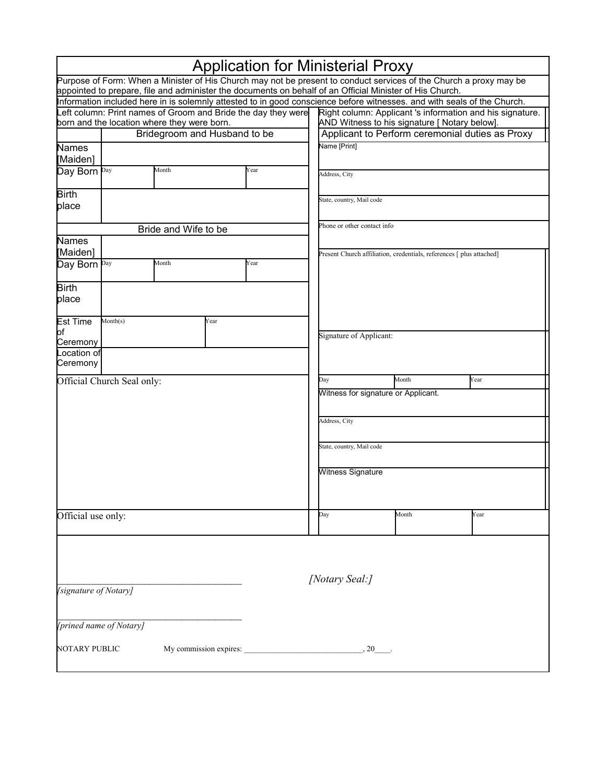|                                                               |                                                                             |       |      | <b>Application for Ministerial Proxy</b> |                                                           |                                                                                                                                                                                                                                |      |  |  |
|---------------------------------------------------------------|-----------------------------------------------------------------------------|-------|------|------------------------------------------|-----------------------------------------------------------|--------------------------------------------------------------------------------------------------------------------------------------------------------------------------------------------------------------------------------|------|--|--|
|                                                               |                                                                             |       |      |                                          |                                                           | Purpose of Form: When a Minister of His Church may not be present to conduct services of the Church a proxy may be<br>appointed to prepare, file and administer the documents on behalf of an Official Minister of His Church. |      |  |  |
|                                                               |                                                                             |       |      |                                          |                                                           | Information included here in is solemnly attested to in good conscience before witnesses. and with seals of the Church.                                                                                                        |      |  |  |
| Left column: Print names of Groom and Bride the day they were |                                                                             |       |      |                                          | Right column: Applicant 's information and his signature. |                                                                                                                                                                                                                                |      |  |  |
|                                                               | born and the location where they were born.<br>Bridegroom and Husband to be |       |      |                                          |                                                           | AND Witness to his signature [ Notary below].<br>Applicant to Perform ceremonial duties as Proxy                                                                                                                               |      |  |  |
| Names                                                         |                                                                             |       |      |                                          | Name [Print]                                              |                                                                                                                                                                                                                                |      |  |  |
| [Maiden]                                                      |                                                                             |       |      |                                          |                                                           |                                                                                                                                                                                                                                |      |  |  |
| Day Born Day                                                  | Month<br>Year                                                               |       |      | Address, City                            |                                                           |                                                                                                                                                                                                                                |      |  |  |
| <b>Birth</b><br>place                                         |                                                                             |       |      |                                          | State, country, Mail code                                 |                                                                                                                                                                                                                                |      |  |  |
|                                                               | Bride and Wife to be                                                        |       |      |                                          |                                                           | Phone or other contact info                                                                                                                                                                                                    |      |  |  |
| Names                                                         |                                                                             |       |      |                                          |                                                           |                                                                                                                                                                                                                                |      |  |  |
| [Maiden]                                                      |                                                                             |       |      |                                          |                                                           | Present Church affiliation, credentials, references [ plus attached]                                                                                                                                                           |      |  |  |
| Day Born Day                                                  |                                                                             | Month |      | Year                                     |                                                           |                                                                                                                                                                                                                                |      |  |  |
| <b>Birth</b>                                                  |                                                                             |       |      |                                          |                                                           |                                                                                                                                                                                                                                |      |  |  |
| place                                                         |                                                                             |       |      |                                          |                                                           |                                                                                                                                                                                                                                |      |  |  |
| <b>Est Time</b>                                               | Month(s)                                                                    |       | Year |                                          |                                                           |                                                                                                                                                                                                                                |      |  |  |
| of<br>Ceremony                                                |                                                                             |       |      |                                          | Signature of Applicant:                                   |                                                                                                                                                                                                                                |      |  |  |
| ocation of                                                    |                                                                             |       |      |                                          |                                                           |                                                                                                                                                                                                                                |      |  |  |
| Ceremony                                                      |                                                                             |       |      |                                          |                                                           |                                                                                                                                                                                                                                |      |  |  |
|                                                               | Official Church Seal only:                                                  |       |      |                                          | Day                                                       | Month                                                                                                                                                                                                                          | Year |  |  |
|                                                               |                                                                             |       |      |                                          |                                                           | Witness for signature or Applicant.                                                                                                                                                                                            |      |  |  |
|                                                               |                                                                             |       |      |                                          | Address, City                                             |                                                                                                                                                                                                                                |      |  |  |
|                                                               |                                                                             |       |      |                                          | State, country, Mail code                                 |                                                                                                                                                                                                                                |      |  |  |
|                                                               |                                                                             |       |      |                                          | Witness Signature                                         |                                                                                                                                                                                                                                |      |  |  |
|                                                               |                                                                             |       |      |                                          |                                                           |                                                                                                                                                                                                                                |      |  |  |
| Official use only:                                            |                                                                             |       |      |                                          | Day                                                       | Month                                                                                                                                                                                                                          | Year |  |  |
|                                                               |                                                                             |       |      |                                          |                                                           |                                                                                                                                                                                                                                |      |  |  |
|                                                               |                                                                             |       |      |                                          |                                                           |                                                                                                                                                                                                                                |      |  |  |
|                                                               |                                                                             |       |      |                                          | [Notary Seal:]                                            |                                                                                                                                                                                                                                |      |  |  |
| [signature of Notary]                                         |                                                                             |       |      |                                          |                                                           |                                                                                                                                                                                                                                |      |  |  |
|                                                               | [prined name of Notary]                                                     |       |      |                                          |                                                           |                                                                                                                                                                                                                                |      |  |  |
| NOTARY PUBLIC<br>My commission expires: 20                    |                                                                             |       |      |                                          |                                                           |                                                                                                                                                                                                                                |      |  |  |